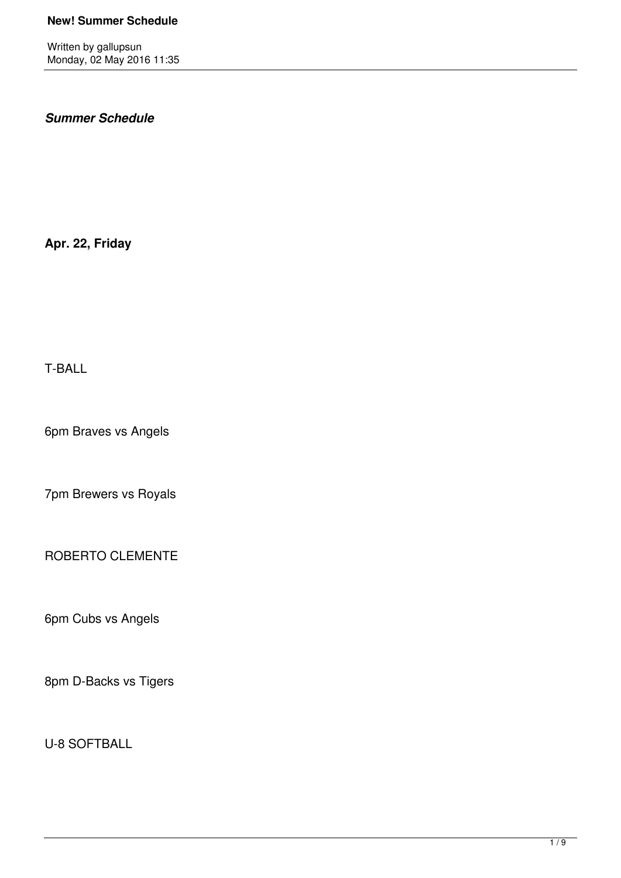Written by gallupsun Monday, 02 May 2016 11:35

## *Summer Schedule*

**Apr. 22, Friday**

T-BALL

6pm Braves vs Angels

7pm Brewers vs Royals

ROBERTO CLEMENTE

6pm Cubs vs Angels

8pm D-Backs vs Tigers

U-8 SOFTBALL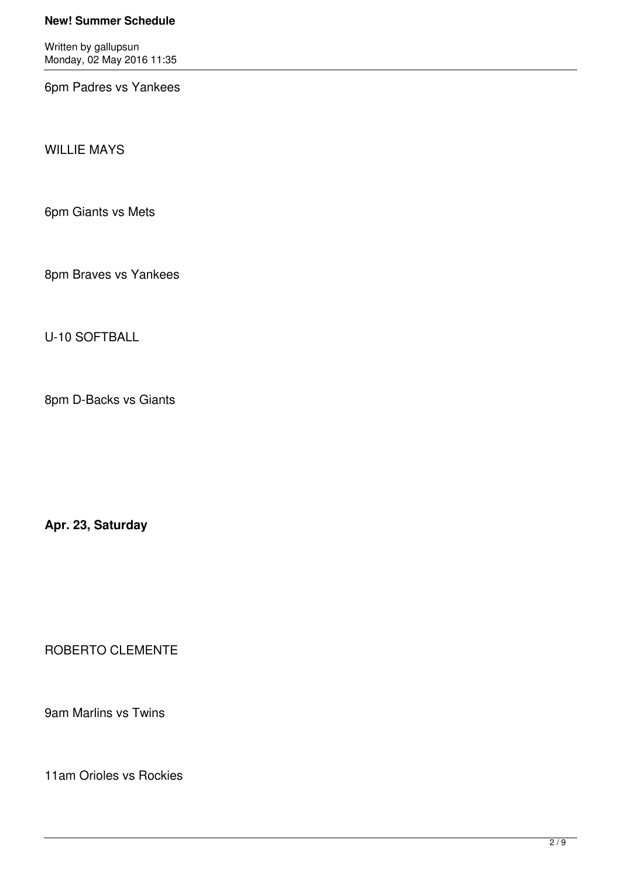Written by gallupsun Monday, 02 May 2016 11:35

6pm Padres vs Yankees

WILLIE MAYS

6pm Giants vs Mets

8pm Braves vs Yankees

U-10 SOFTBALL

8pm D-Backs vs Giants

**Apr. 23, Saturday**

ROBERTO CLEMENTE

9am Marlins vs Twins

11am Orioles vs Rockies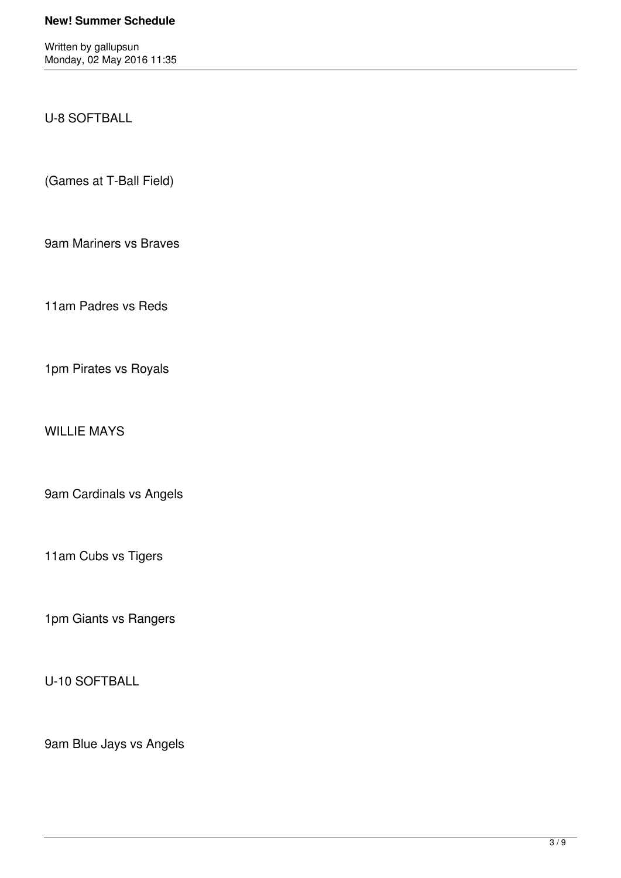Written by gallupsun Monday, 02 May 2016 11:35

U-8 SOFTBALL

(Games at T-Ball Field)

9am Mariners vs Braves

11am Padres vs Reds

1pm Pirates vs Royals

WILLIE MAYS

9am Cardinals vs Angels

11am Cubs vs Tigers

1pm Giants vs Rangers

U-10 SOFTBALL

9am Blue Jays vs Angels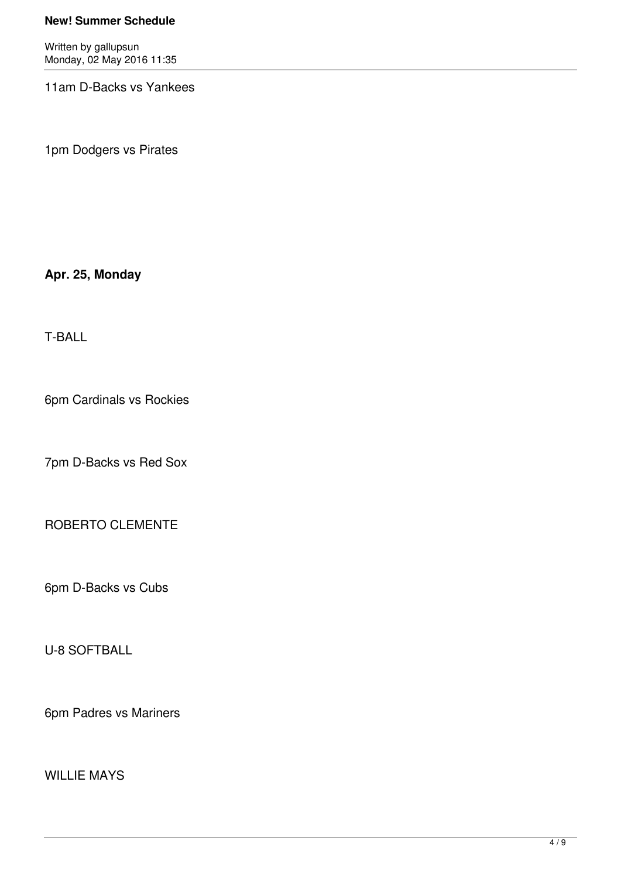Written by gallupsun Monday, 02 May 2016 11:35

11am D-Backs vs Yankees

1pm Dodgers vs Pirates

## **Apr. 25, Monday**

T-BALL

6pm Cardinals vs Rockies

7pm D-Backs vs Red Sox

ROBERTO CLEMENTE

6pm D-Backs vs Cubs

U-8 SOFTBALL

6pm Padres vs Mariners

# WILLIE MAYS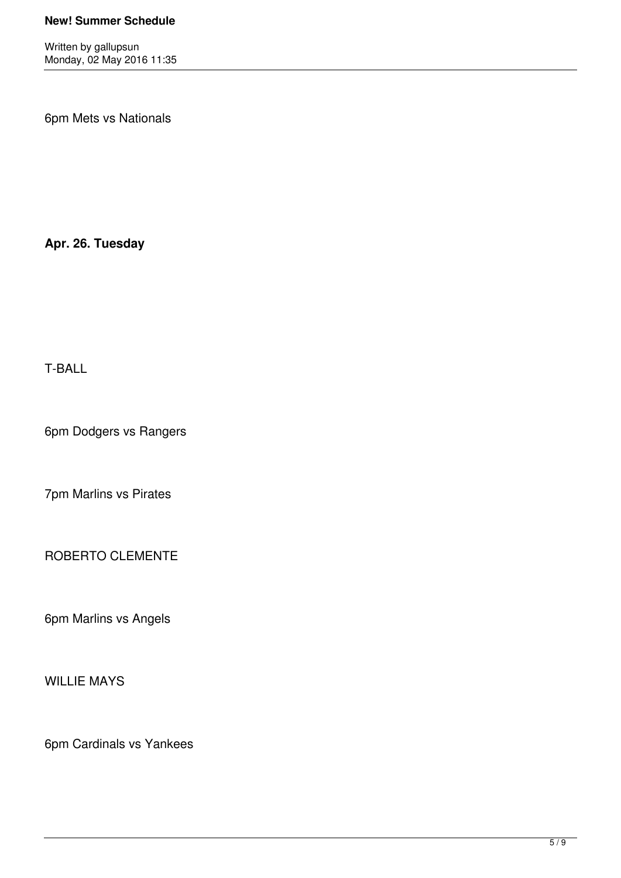Written by gallupsun Monday, 02 May 2016 11:35

6pm Mets vs Nationals

**Apr. 26. Tuesday**

T-BALL

6pm Dodgers vs Rangers

7pm Marlins vs Pirates

ROBERTO CLEMENTE

6pm Marlins vs Angels

WILLIE MAYS

6pm Cardinals vs Yankees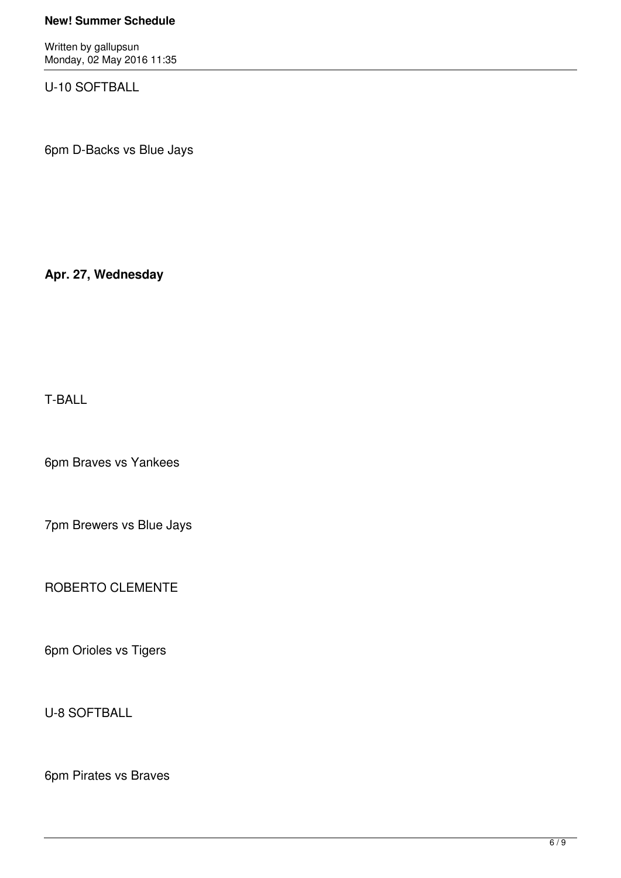Written by gallupsun Monday, 02 May 2016 11:35

U-10 SOFTBALL

6pm D-Backs vs Blue Jays

**Apr. 27, Wednesday**

T-BALL

6pm Braves vs Yankees

7pm Brewers vs Blue Jays

ROBERTO CLEMENTE

6pm Orioles vs Tigers

U-8 SOFTBALL

6pm Pirates vs Braves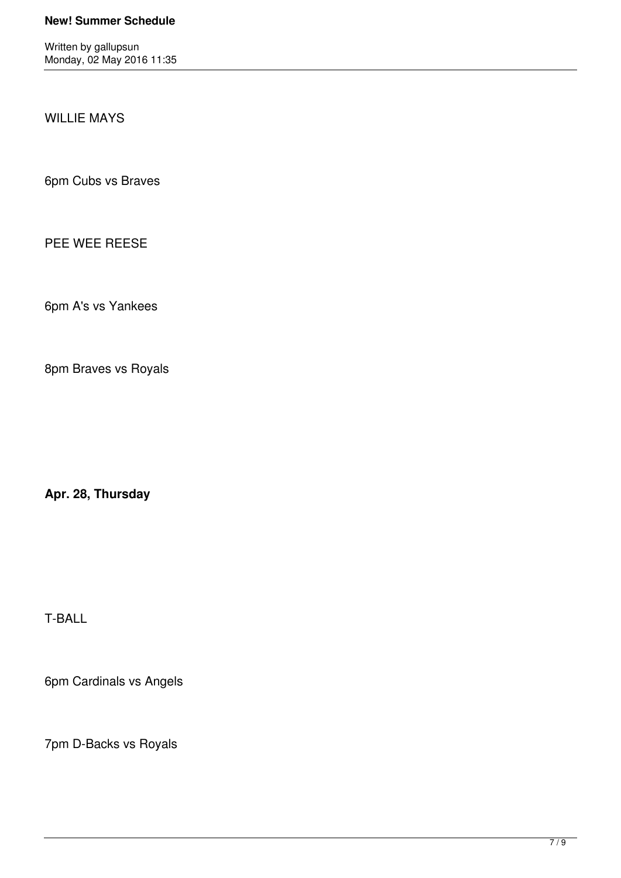Written by gallupsun Monday, 02 May 2016 11:35

WILLIE MAYS

6pm Cubs vs Braves

PEE WEE REESE

6pm A's vs Yankees

8pm Braves vs Royals

**Apr. 28, Thursday**

T-BALL

6pm Cardinals vs Angels

7pm D-Backs vs Royals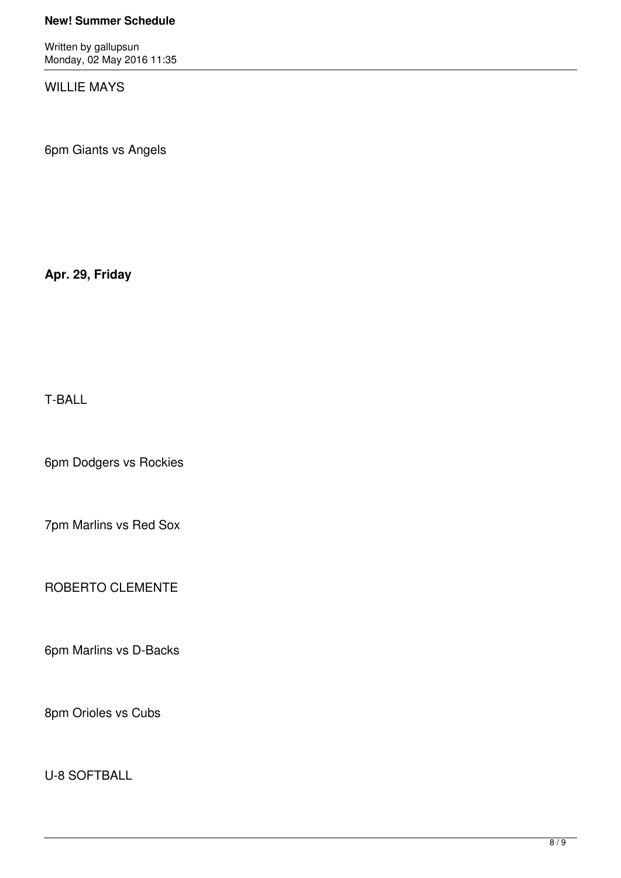Written by gallupsun Monday, 02 May 2016 11:35

WILLIE MAYS

6pm Giants vs Angels

**Apr. 29, Friday**

T-BALL

6pm Dodgers vs Rockies

7pm Marlins vs Red Sox

ROBERTO CLEMENTE

6pm Marlins vs D-Backs

8pm Orioles vs Cubs

U-8 SOFTBALL